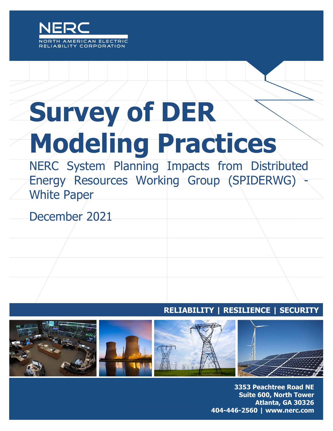

# **Survey of DER Modeling Practices**

NERC System Planning Impacts from Distributed Energy Resources Working Group (SPIDERWG) White Paper

December 2021

**RELIABILITY | RESILIENCE | SECURITY**



3353 Peachtree Road NE **Suite 600, North Tower** Atlanta, GA 30326 404-446-2560 | www.nerc.com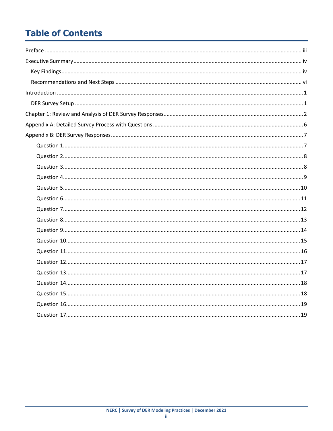# **Table of Contents**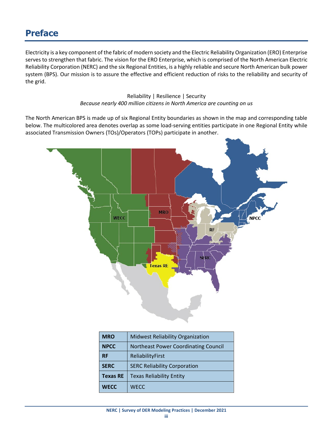# <span id="page-2-0"></span>**Preface**

Electricity is a key component of the fabric of modern society and the Electric Reliability Organization (ERO) Enterprise serves to strengthen that fabric. The vision for the ERO Enterprise, which is comprised of the North American Electric Reliability Corporation (NERC) and the six Regional Entities, is a highly reliable and secure North American bulk power system (BPS). Our mission is to assure the effective and efficient reduction of risks to the reliability and security of the grid.

#### Reliability | Resilience | Security *Because nearly 400 million citizens in North America are counting on us*

The North American BPS is made up of six Regional Entity boundaries as shown in the map and corresponding table below. The multicolored area denotes overlap as some load-serving entities participate in one Regional Entity while associated Transmission Owners (TOs)/Operators (TOPs) participate in another.



| <b>MRO</b>      | <b>Midwest Reliability Organization</b> |  |
|-----------------|-----------------------------------------|--|
| <b>NPCC</b>     | Northeast Power Coordinating Council    |  |
| <b>RF</b>       | ReliabilityFirst                        |  |
| <b>SERC</b>     | <b>SERC Reliability Corporation</b>     |  |
| <b>Texas RE</b> | <b>Texas Reliability Entity</b>         |  |
| <b>WECC</b>     | <b>WECC</b>                             |  |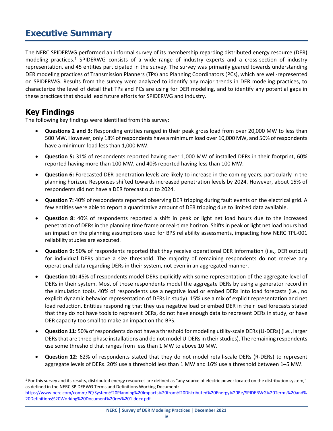# <span id="page-3-0"></span>**Executive Summary**

The NERC SPIDERWG performed an informal survey of its membership regarding distributed energy resource (DER) modeling practices.[1](#page-3-2) SPIDERWG consists of a wide range of industry experts and a cross-section of industry representation, and 45 entities participated in the survey. The survey was primarily geared towards understanding DER modeling practices of Transmission Planners (TPs) and Planning Coordinators (PCs), which are well-represented on SPIDERWG. Results from the survey were analyzed to identify any major trends in DER modeling practices, to characterize the level of detail that TPs and PCs are using for DER modeling, and to identify any potential gaps in these practices that should lead future efforts for SPIDERWG and industry.

# <span id="page-3-1"></span>**Key Findings**

The following key findings were identified from this survey:

- **Questions 2 and 3:** Responding entities ranged in their peak gross load from over 20,000 MW to less than 500 MW. However, only 18% of respondents have a minimum load over 10,000 MW, and 50% of respondents have a minimum load less than 1,000 MW.
- **Question 5:** 31% of respondents reported having over 1,000 MW of installed DERs in their footprint, 60% reported having more than 100 MW, and 40% reported having less than 100 MW.
- **Question 6:** Forecasted DER penetration levels are likely to increase in the coming years, particularly in the planning horizon. Responses shifted towards increased penetration levels by 2024. However, about 15% of respondents did not have a DER forecast out to 2024.
- **Question 7:** 40% of respondents reported observing DER tripping during fault events on the electrical grid. A few entities were able to report a quantitative amount of DER tripping due to limited data available.
- **Question 8:** 40% of respondents reported a shift in peak or light net load hours due to the increased penetration of DERs in the planning time frame or real-time horizon. Shifts in peak or light net load hours had an impact on the planning assumptions used for BPS reliability assessments, impacting how NERC TPL-001 reliability studies are executed.
- **Question 9:** 50% of respondents reported that they receive operational DER information (i.e., DER output) for individual DERs above a size threshold. The majority of remaining respondents do not receive any operational data regarding DERs in their system, not even in an aggregated manner.
- **Question 10:** 45% of respondents model DERs explicitly with some representation of the aggregate level of DERs in their system. Most of those respondents model the aggregate DERs by using a generator record in the simulation tools. 40% of respondents use a negative load or embed DERs into load forecasts (i.e., no explicit dynamic behavior representation of DERs in study). 15% use a mix of explicit representation and net load reduction. Entities responding that they use negative load or embed DER in their load forecasts stated that they do not have tools to represent DERs, do not have enough data to represent DERs in study, or have DER capacity too small to make an impact on the BPS.
- **Question 11:** 50% of respondents do not have a threshold for modeling utility-scale DERs (U-DERs) (i.e., larger DERs that are three-phase installations and do not model U-DERs in their studies). The remaining respondents use some threshold that ranges from less than 1 MW to above 10 MW.
- **Question 12:** 62% of respondents stated that they do not model retail-scale DERs (R-DERs) to represent aggregate levels of DERs. 20% use a threshold less than 1 MW and 16% use a threshold between 1–5 MW.

**NERC | Survey of DER Modeling Practices | December 2021**

<span id="page-3-2"></span> $1$  For this survey and its results, distributed energy resources are defined as "any source of electric power located on the distribution system," as defined in the NERC SPIDERWG Terms and Definitions Working Document:

[https://www.nerc.com/comm/PC/System%20Planning%20Impacts%20from%20Distributed%20Energy%20Re/SPIDERWG%20Terms%20and%](https://www.nerc.com/comm/PC/System%20Planning%20Impacts%20from%20Distributed%20Energy%20Re/SPIDERWG%20Terms%20and%20Definitions%20Working%20Document%20rev%201.docx.pdf) [20Definitions%20Working%20Document%20rev%201.docx.pdf](https://www.nerc.com/comm/PC/System%20Planning%20Impacts%20from%20Distributed%20Energy%20Re/SPIDERWG%20Terms%20and%20Definitions%20Working%20Document%20rev%201.docx.pdf)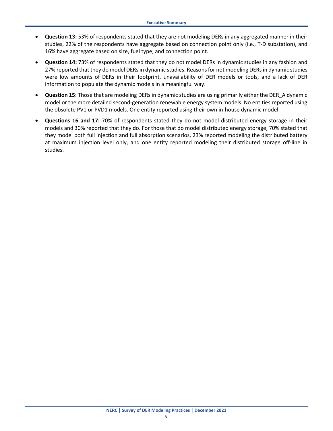- **Question 13:** 53% of respondents stated that they are not modeling DERs in any aggregated manner in their studies, 22% of the respondents have aggregate based on connection point only (i.e., T-D substation), and 16% have aggregate based on size, fuel type, and connection point.
- **Question 14:** 73% of respondents stated that they do not model DERs in dynamic studies in any fashion and 27% reported that they do model DERs in dynamic studies. Reasons for not modeling DERs in dynamic studies were low amounts of DERs in their footprint, unavailability of DER models or tools, and a lack of DER information to populate the dynamic models in a meaningful way.
- **Question 15:** Those that are modeling DERs in dynamic studies are using primarily either the DER\_A dynamic model or the more detailed second-generation renewable energy system models. No entities reported using the obsolete PV1 or PVD1 models. One entity reported using their own in-house dynamic model.
- **Questions 16 and 17:** 70% of respondents stated they do not model distributed energy storage in their models and 30% reported that they do. For those that do model distributed energy storage, 70% stated that they model both full injection and full absorption scenarios, 23% reported modeling the distributed battery at maximum injection level only, and one entity reported modeling their distributed storage off-line in studies.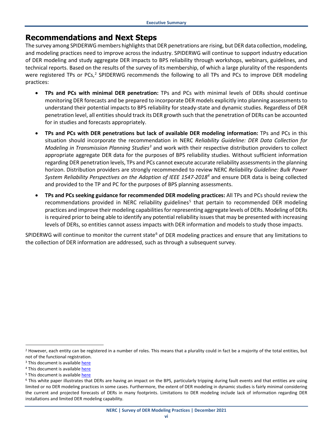# <span id="page-5-0"></span>**Recommendations and Next Steps**

The survey among SPIDERWG members highlights that DER penetrations are rising, but DER data collection, modeling, and modeling practices need to improve across the industry. SPIDERWG will continue to support industry education of DER modeling and study aggregate DER impacts to BPS reliability through workshops, webinars, guidelines, and technical reports. Based on the results of the survey of its membership, of which a large plurality of the respondents were registered TPs or PCs,<sup>[2](#page-5-1)</sup> SPIDERWG recommends the following to all TPs and PCs to improve DER modeling practices:

- **TPs and PCs with minimal DER penetration:** TPs and PCs with minimal levels of DERs should continue monitoring DER forecasts and be prepared to incorporate DER models explicitly into planning assessments to understand their potential impacts to BPS reliability for steady-state and dynamic studies. Regardless of DER penetration level, all entities should track its DER growth such that the penetration of DERs can be accounted for in studies and forecasts appropriately.
- **TPs and PCs with DER penetrations but lack of available DER modeling information:** TPs and PCs in this situation should incorporate the recommendation in NERC *Reliability Guideline: DER Data Collection for Modeling in Transmission Planning Studies[3](#page-5-2)* and work with their respective distribution providers to collect appropriate aggregate DER data for the purposes of BPS reliability studies. Without sufficient information regarding DER penetration levels, TPs and PCs cannot execute accurate reliability assessments in the planning horizon. Distribution providers are strongly recommended to review NERC *Reliability Guideline: Bulk Power System Reliability Perspectives on the Adoption of IEEE 1547-2018[4](#page-5-3)* and ensure DER data is being collected and provided to the TP and PC for the purposes of BPS planning assessments.
- **TPs and PCs seeking guidance for recommended DER modeling practices:** All TPs and PCs should review the recommendations provided in NERC reliability guidelines<sup>[5](#page-5-4)</sup> that pertain to recommended DER modeling practices and improve their modeling capabilities for representing aggregate levels of DERs. Modeling of DERs is required prior to being able to identify any potential reliability issues that may be presented with increasing levels of DERs, so entities cannot assess impacts with DER information and models to study those impacts.

SPIDERWG will continue to monitor the current state<sup>[6](#page-5-5)</sup> of DER modeling practices and ensure that any limitations to the collection of DER information are addressed, such as through a subsequent survey.

<span id="page-5-1"></span><sup>&</sup>lt;sup>2</sup> However, each entity can be registered in a number of roles. This means that a plurality could in fact be a majority of the total entities, but not of the functional registration.

<span id="page-5-2"></span><sup>&</sup>lt;sup>3</sup> This document is availabl[e here](https://www.nerc.com/comm/PC_Reliability_Guidelines_DL/Reliability_Guideline_DER_Data_Collection_for_Modeling%20(003).pdf)

<span id="page-5-3"></span><sup>&</sup>lt;sup>4</sup> This document is availabl[e here](https://www.nerc.com/comm/PC_Reliability_Guidelines_DL/Guideline_IEEE_1547-2018_BPS_Perspectives.pdf)

<span id="page-5-4"></span><sup>&</sup>lt;sup>5</sup> This document is availabl[e here](https://www.nerc.com/comm/PC_Reliability_Guidelines_DL/Reliability_Guideline_DER_A_Parameterization.pdf)

<span id="page-5-5"></span> $6$  This white paper illustrates that DERs are having an impact on the BPS, particularly tripping during fault events and that entities are using limited or no DER modeling practices in some cases. Furthermore, the extent of DER modeling in dynamic studies is fairly minimal considering the current and projected forecasts of DERs in many footprints. Limitations to DER modeling include lack of information regarding DER installations and limited DER modeling capability.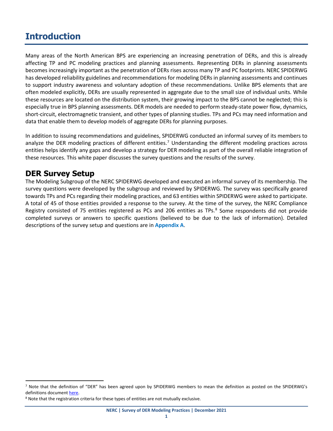# <span id="page-6-0"></span>**Introduction**

Many areas of the North American BPS are experiencing an increasing penetration of DERs, and this is already affecting TP and PC modeling practices and planning assessments. Representing DERs in planning assessments becomes increasingly important as the penetration of DERs rises across many TP and PC footprints. NERC SPIDERWG has developed reliability guidelines and recommendations for modeling DERs in planning assessments and continues to support industry awareness and voluntary adoption of these recommendations. Unlike BPS elements that are often modeled explicitly, DERs are usually represented in aggregate due to the small size of individual units. While these resources are located on the distribution system, their growing impact to the BPS cannot be neglected; this is especially true in BPS planning assessments. DER models are needed to perform steady-state power flow, dynamics, short-circuit, electromagnetic transient, and other types of planning studies. TPs and PCs may need information and data that enable them to develop models of aggregate DERs for planning purposes.

In addition to issuing recommendations and guidelines, SPIDERWG conducted an informal survey of its members to analyze the DER modeling practices of different entities.<sup>[7](#page-6-2)</sup> Understanding the different modeling practices across entities helps identify any gaps and develop a strategy for DER modeling as part of the overall reliable integration of these resources. This white paper discusses the survey questions and the results of the survey.

# <span id="page-6-1"></span>**DER Survey Setup**

The Modeling Subgroup of the NERC SPIDERWG developed and executed an informal survey of its membership. The survey questions were developed by the subgroup and reviewed by SPIDERWG. The survey was specifically geared towards TPs and PCs regarding their modeling practices, and 63 entities within SPIDERWG were asked to participate. A total of 45 of those entities provided a response to the survey. At the time of the survey, the NERC Compliance Registry consisted of 75 entities registered as PCs and 206 entities as TPs.<sup>[8](#page-6-3)</sup> Some respondents did not provide completed surveys or answers to specific questions (believed to be due to the lack of information). Detailed descriptions of the survey setup and questions are in **[Appendix A](#page-11-0)**.

<span id="page-6-2"></span><sup>&</sup>lt;sup>7</sup> Note that the definition of "DER" has been agreed upon by SPIDERWG members to mean the definition as posted on the SPIDERWG's definitions documen[t here.](https://www.nerc.com/comm/RSTC/SPIDERWG/SPIDERWG%20Terms%20and%20Definitions%20Working%20Document.pdf)

<span id="page-6-3"></span><sup>&</sup>lt;sup>8</sup> Note that the registration criteria for these types of entities are not mutually exclusive.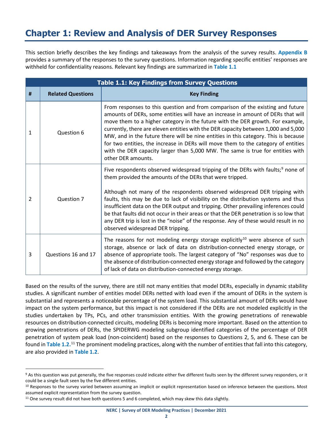# <span id="page-7-0"></span>**Chapter 1: Review and Analysis of DER Survey Responses**

This section briefly describes the key findings and takeaways from the analysis of the survey results. **[Appendix B](#page-12-0)** provides a summary of the responses to the survey questions. Information regarding specific entities' responses are withheld for confidentiality reasons. Relevant key findings are summarized in **[Table 1.1](#page-7-1)**

<span id="page-7-1"></span>

| <b>Table 1.1: Key Findings from Survey Questions</b> |                          |                                                                                                                                                                                                                                                                                                                                                                                                                                                                                                                                                                                                                                           |  |  |  |
|------------------------------------------------------|--------------------------|-------------------------------------------------------------------------------------------------------------------------------------------------------------------------------------------------------------------------------------------------------------------------------------------------------------------------------------------------------------------------------------------------------------------------------------------------------------------------------------------------------------------------------------------------------------------------------------------------------------------------------------------|--|--|--|
| #                                                    | <b>Related Questions</b> | <b>Key Finding</b>                                                                                                                                                                                                                                                                                                                                                                                                                                                                                                                                                                                                                        |  |  |  |
| 1                                                    | Question 6               | From responses to this question and from comparison of the existing and future<br>amounts of DERs, some entities will have an increase in amount of DERs that will<br>move them to a higher category in the future with the DER growth. For example,<br>currently, there are eleven entities with the DER capacity between 1,000 and 5,000<br>MW, and in the future there will be nine entities in this category. This is because<br>for two entities, the increase in DERs will move them to the category of entities<br>with the DER capacity larger than 5,000 MW. The same is true for entities with<br>other DER amounts.            |  |  |  |
| 2                                                    | Question 7               | Five respondents observed widespread tripping of the DERs with faults; <sup>9</sup> none of<br>them provided the amounts of the DERs that were tripped.<br>Although not many of the respondents observed widespread DER tripping with<br>faults, this may be due to lack of visibility on the distribution systems and thus<br>insufficient data on the DER output and tripping. Other prevailing inferences could<br>be that faults did not occur in their areas or that the DER penetration is so low that<br>any DER trip is lost in the "noise" of the response. Any of these would result in no<br>observed widespread DER tripping. |  |  |  |
| 3                                                    | Questions 16 and 17      | The reasons for not modeling energy storage explicitly <sup>10</sup> were absence of such<br>storage, absence or lack of data on distribution-connected energy storage, or<br>absence of appropriate tools. The largest category of "No" responses was due to<br>the absence of distribution-connected energy storage and followed by the category<br>of lack of data on distribution-connected energy storage.                                                                                                                                                                                                                           |  |  |  |

Based on the results of the survey, there are still not many entities that model DERs, especially in dynamic stability studies. A significant number of entities model DERs netted with load even if the amount of DERs in the system is substantial and represents a noticeable percentage of the system load. This substantial amount of DERs would have impact on the system performance, but this impact is not considered if the DERs are not modeled explicitly in the studies undertaken by TPs, PCs, and other transmission entities. With the growing penetrations of renewable resources on distribution-connected circuits, modeling DERs is becoming more important. Based on the attention to growing penetrations of DERs, the SPIDERWG modeling subgroup identified categories of the percentage of DER penetration of system peak load (non-coincident) based on the responses to Questions 2, 5, and 6. These can be found in [Table 1.2.](#page-8-0)<sup>[11](#page-7-4)</sup> The prominent modeling practices, along with the number of entities that fall into this category, are also provided in **[Table 1.2](#page-8-0)**.

<span id="page-7-2"></span><sup>9</sup> As this question was put generally, the five responses could indicate either five different faults seen by the different survey responders, or it could be a single fault seen by the five different entities.

<span id="page-7-3"></span><sup>&</sup>lt;sup>10</sup> Responses to the survey varied between assuming an implicit or explicit representation based on inference between the questions. Most assumed explicit representation from the survey question.

<span id="page-7-4"></span><sup>&</sup>lt;sup>11</sup> One survey result did not have both questions 5 and 6 completed, which may skew this data slightly.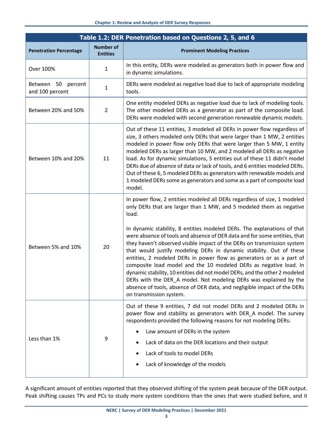<span id="page-8-0"></span>

| Table 1.2: DER Penetration based on Questions 2, 5, and 6 |                                     |                                                                                                                                                                                                                                                                                                                                                                                                                                                                                                                                                                                                                                                                                                                                                                                                                                                                           |  |  |
|-----------------------------------------------------------|-------------------------------------|---------------------------------------------------------------------------------------------------------------------------------------------------------------------------------------------------------------------------------------------------------------------------------------------------------------------------------------------------------------------------------------------------------------------------------------------------------------------------------------------------------------------------------------------------------------------------------------------------------------------------------------------------------------------------------------------------------------------------------------------------------------------------------------------------------------------------------------------------------------------------|--|--|
| <b>Penetration Percentage</b>                             | <b>Number of</b><br><b>Entities</b> | <b>Prominent Modeling Practices</b>                                                                                                                                                                                                                                                                                                                                                                                                                                                                                                                                                                                                                                                                                                                                                                                                                                       |  |  |
| Over 100%                                                 | 1                                   | In this entity, DERs were modeled as generators both in power flow and<br>in dynamic simulations.                                                                                                                                                                                                                                                                                                                                                                                                                                                                                                                                                                                                                                                                                                                                                                         |  |  |
| Between 50 percent<br>and 100 percent                     | $\mathbf{1}$                        | DERs were modeled as negative load due to lack of appropriate modeling<br>tools.                                                                                                                                                                                                                                                                                                                                                                                                                                                                                                                                                                                                                                                                                                                                                                                          |  |  |
| Between 20% and 50%                                       | $\overline{2}$                      | One entity modeled DERs as negative load due to lack of modeling tools.<br>The other modeled DERs as a generator as part of the composite load.<br>DERs were modeled with second generation renewable dynamic models.                                                                                                                                                                                                                                                                                                                                                                                                                                                                                                                                                                                                                                                     |  |  |
| Between 10% and 20%                                       | 11                                  | Out of these 11 entities, 3 modeled all DERs in power flow regardless of<br>size, 3 others modeled only DERs that were larger than 1 MW, 2 entities<br>modeled in power flow only DERs that were larger than 5 MW, 1 entity<br>modeled DERs as larger than 10 MW, and 2 modeled all DERs as negative<br>load. As for dynamic simulations, 5 entities out of these 11 didn't model<br>DERs due of absence of data or lack of tools, and 6 entities modeled DERs.<br>Out of these 6, 5 modeled DERs as generators with renewable models and<br>1 modeled DERs some as generators and some as a part of composite load<br>model.                                                                                                                                                                                                                                             |  |  |
| Between 5% and 10%                                        | 20                                  | In power flow, 2 entities modeled all DERs regardless of size, 1 modeled<br>only DERs that are larger than 1 MW, and 5 modeled them as negative<br>load.<br>In dynamic stability, 8 entities modeled DERs. The explanations of that<br>were absence of tools and absence of DER data and for some entities, that<br>they haven't observed visible impact of the DERs on transmission system<br>that would justify modeling DERs in dynamic stability. Out of these<br>entities, 2 modeled DERs in power flow as generators or as a part of<br>composite load model and the 10 modeled DERs as negative load. In<br>dynamic stability, 10 entities did not model DERs, and the other 2 modeled<br>DERs with the DER_A model. Not modeling DERs was explained by the<br>absence of tools, absence of DER data, and negligible impact of the DERs<br>on transmission system. |  |  |
| Less than 1%                                              | 9                                   | Out of these 9 entities, 7 did not model DERs and 2 modeled DERs in<br>power flow and stability as generators with DER_A model. The survey<br>respondents provided the following reasons for not modeling DERs:<br>Low amount of DERs in the system<br>Lack of data on the DER locations and their output<br>Lack of tools to model DERs<br>Lack of knowledge of the models                                                                                                                                                                                                                                                                                                                                                                                                                                                                                               |  |  |

A significant amount of entities reported that they observed shifting of the system peak because of the DER output. Peak shifting causes TPs and PCs to study more system conditions than the ones that were studied before, and it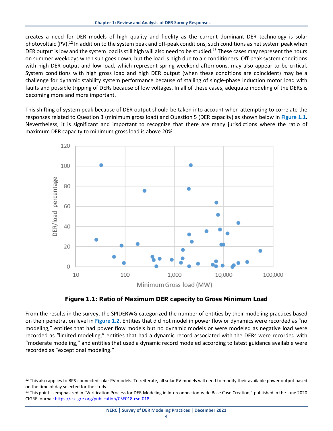creates a need for DER models of high quality and fidelity as the current dominant DER technology is solar photovoltaic (PV).<sup>[12](#page-9-1)</sup> In addition to the system peak and off-peak conditions, such conditions as net system peak when DER output is low and the system load is still high will also need to be studied.<sup>[13](#page-9-2)</sup> These cases may represent the hours on summer weekdays when sun goes down, but the load is high due to air-conditioners. Off-peak system conditions with high DER output and low load, which represent spring weekend afternoons, may also appear to be critical. System conditions with high gross load and high DER output (when these conditions are coincident) may be a challenge for dynamic stability system performance because of stalling of single-phase induction motor load with faults and possible tripping of DERs because of low voltages. In all of these cases, adequate modeling of the DERs is becoming more and more important.

This shifting of system peak because of DER output should be taken into account when attempting to correlate the responses related to Question 3 (minimum gross load) and Question 5 (DER capacity) as shown below in **[Figure 1.1](#page-9-0)**. Nevertheless, it is significant and important to recognize that there are many jurisdictions where the ratio of maximum DER capacity to minimum gross load is above 20%.





<span id="page-9-0"></span>From the results in the survey, the SPIDERWG categorized the number of entities by their modeling practices based on their penetration level in **[Figure 1.2](#page-10-0)**. Entities that did not model in power flow or dynamics were recorded as "no modeling," entities that had power flow models but no dynamic models or were modeled as negative load were recorded as "limited modeling," entities that had a dynamic record associated with the DERs were recorded with "moderate modeling," and entities that used a dynamic record modeled according to latest guidance available were recorded as "exceptional modeling."

<span id="page-9-1"></span><sup>&</sup>lt;sup>12</sup> This also applies to BPS-connected solar PV models. To reiterate, all solar PV models will need to modify their available power output based

<span id="page-9-2"></span>on the time of day selected for the study.<br><sup>13</sup> This point is emphasized in "Verification Process for DER Modeling in Interconnection-wide Base Case Creation," published in the June 2020 CIGRE journal[: https://e-cigre.org/publication/CSE018-cse-018.](https://e-cigre.org/publication/CSE018-cse-018)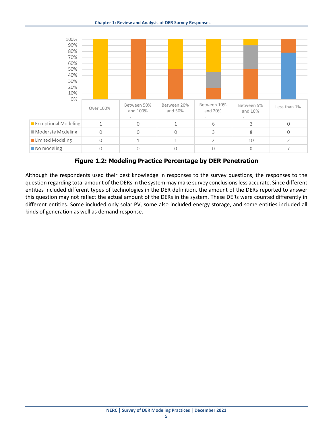

**Figure 1.2: Modeling Practice Percentage by DER Penetration**

<span id="page-10-0"></span>Although the respondents used their best knowledge in responses to the survey questions, the responses to the question regarding total amount of the DERsin the system may make survey conclusions less accurate. Since different entities included different types of technologies in the DER definition, the amount of the DERs reported to answer this question may not reflect the actual amount of the DERs in the system. These DERs were counted differently in different entities. Some included only solar PV, some also included energy storage, and some entities included all kinds of generation as well as demand response.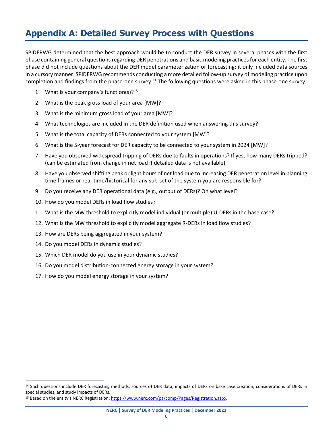# <span id="page-11-0"></span>**Appendix A: Detailed Survey Process with Questions**

SPIDERWG determined that the best approach would be to conduct the DER survey in several phases with the first phase containing general questions regarding DER penetrations and basic modeling practices for each entity. The first phase did not include questions about the DER model parameterization or forecasting; it only included data sources in a cursory manner. SPIDERWG recommends conducting a more detailed follow-up survey of modeling practice upon completion and findings from the phase-one survey.<sup>[14](#page-11-1)</sup> The following questions were asked in this phase-one survey:

- 1. What is your company's function(s)?<sup>15</sup>
- 2. What is the peak gross load of your area [MW]?
- 3. What is the minimum gross load of your area [MW]?
- 4. What technologies are included in the DER definition used when answering this survey?
- 5. What is the total capacity of DERs connected to your system [MW]?
- 6. What is the 5-year forecast for DER capacity to be connected to your system in 2024 [MW]?
- 7. Have you observed widespread tripping of DERs due to faults in operations? If yes, how many DERs tripped? (can be estimated from change in net load if detailed data is not available)
- 8. Have you observed shifting peak or light hours of net load due to increasing DER penetration level in planning time frames or real-time/historical for any sub-set of the system you are responsible for?
- 9. Do you receive any DER operational data (e.g., output of DERs)? On what level?
- 10. How do you model DERs in load flow studies?
- 11. What is the MW threshold to explicitly model individual (or multiple) U-DERs in the base case?
- 12. What is the MW threshold to explicitly model aggregate R-DERs in load flow studies?
- 13. How are DERs being aggregated in your system?
- 14. Do you model DERs in dynamic studies?
- 15. Which DER model do you use in your dynamic studies?
- 16. Do you model distribution-connected energy storage in your system?
- 17. How do you model energy storage in your system?

<span id="page-11-1"></span><sup>&</sup>lt;sup>14</sup> Such questions include DER forecasting methods, sources of DER data, impacts of DERs on base case creation, considerations of DERs in special studies, and study impacts of DERs.

<span id="page-11-2"></span><sup>15</sup> Based on the entity's NERC Registration[: https://www.nerc.com/pa/comp/Pages/Registration.aspx.](https://www.nerc.com/pa/comp/Pages/Registration.aspx)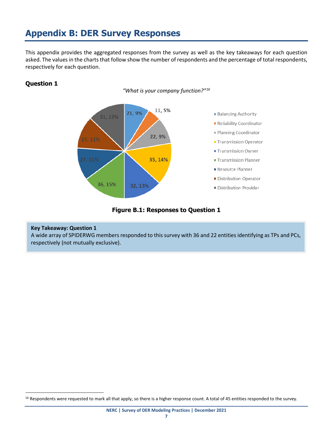# <span id="page-12-0"></span>**Appendix B: DER Survey Responses**

This appendix provides the aggregated responses from the survey as well as the key takeaways for each question asked. The values in the charts that follow show the number of respondents and the percentage of total respondents, respectively for each question.

## <span id="page-12-1"></span>**Question 1**

*"What is your company function?["16](#page-12-2)*



**Figure B.1: Responses to Question 1**

#### **Key Takeaway: Question 1**

A wide array of SPIDERWG members responded to this survey with 36 and 22 entities identifying as TPs and PCs, respectively (not mutually exclusive).

<span id="page-12-2"></span><sup>&</sup>lt;sup>16</sup> Respondents were requested to mark all that apply, so there is a higher response count. A total of 45 entities responded to the survey.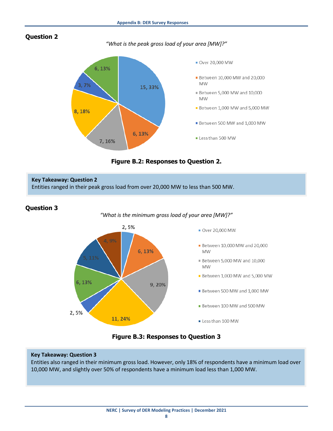<span id="page-13-0"></span>

*"What is the peak gross load of your area [MW]?"*



**Figure B.2: Responses to Question 2.**

## **Key Takeaway: Question 2** Entities ranged in their peak gross load from over 20,000 MW to less than 500 MW.

## <span id="page-13-1"></span>**Question 3**

#### *"What is the minimum gross load of your area [MW]?"*



**Figure B.3: Responses to Question 3**

#### **Key Takeaway: Question 3**

Entities also ranged in their minimum gross load. However, only 18% of respondents have a minimum load over 10,000 MW, and slightly over 50% of respondents have a minimum load less than 1,000 MW.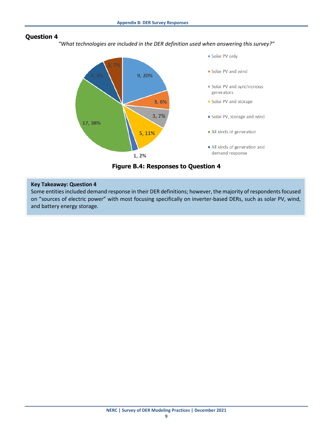<span id="page-14-0"></span>*"What technologies are included in the DER definition used when answering this survey?"*



**Figure B.4: Responses to Question 4**

#### **Key Takeaway: Question 4**

Some entities included demand response in their DER definitions; however, the majority of respondents focused on "sources of electric power" with most focusing specifically on inverter-based DERs, such as solar PV, wind, and battery energy storage.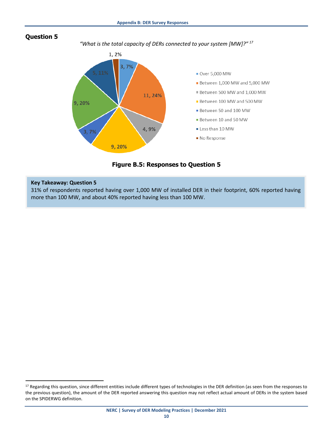<span id="page-15-0"></span>

*"What is the total capacity of DERs connected to your system [MW]?" [17](#page-15-1)*



**Figure B.5: Responses to Question 5**

#### **Key Takeaway: Question 5**

31% of respondents reported having over 1,000 MW of installed DER in their footprint, 60% reported having more than 100 MW, and about 40% reported having less than 100 MW.

<span id="page-15-1"></span><sup>&</sup>lt;sup>17</sup> Regarding this question, since different entities include different types of technologies in the DER definition (as seen from the responses to the previous question), the amount of the DER reported answering this question may not reflect actual amount of DERs in the system based on the SPIDERWG definition.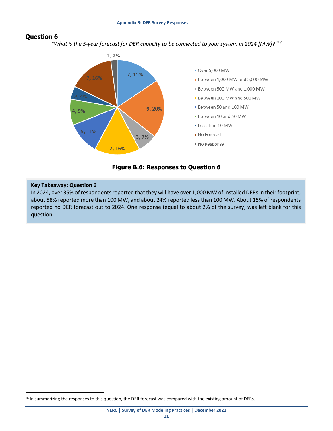<span id="page-16-0"></span>*"What is the 5-year forecast for DER capacity to be connected to your system in 2024 [MW]?"[18](#page-16-1)*



**Figure B.6: Responses to Question 6**

#### **Key Takeaway: Question 6**

In 2024, over 35% of respondents reported that they will have over 1,000 MW of installed DERs in their footprint, about 58% reported more than 100 MW, and about 24% reported less than 100 MW. About 15% of respondents reported no DER forecast out to 2024. One response (equal to about 2% of the survey) was left blank for this question.

<span id="page-16-1"></span><sup>&</sup>lt;sup>18</sup> In summarizing the responses to this question, the DER forecast was compared with the existing amount of DERs.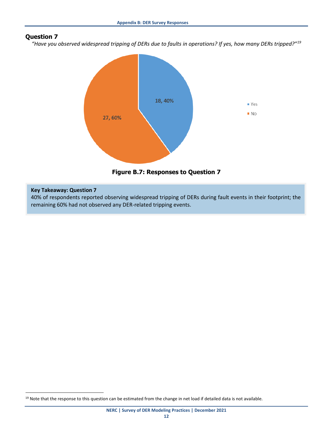<span id="page-17-0"></span>*"Have you observed widespread tripping of DERs due to faults in operations? If yes, how many DERs tripped?"[19](#page-17-1)*





#### **Key Takeaway: Question 7**

40% of respondents reported observing widespread tripping of DERs during fault events in their footprint; the remaining 60% had not observed any DER-related tripping events.

<span id="page-17-1"></span><sup>&</sup>lt;sup>19</sup> Note that the response to this question can be estimated from the change in net load if detailed data is not available.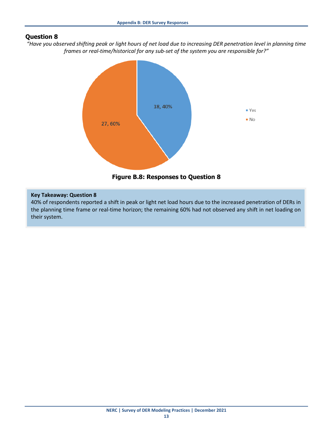<span id="page-18-0"></span>*"Have you observed shifting peak or light hours of net load due to increasing DER penetration level in planning time frames or real-time/historical for any sub-set of the system you are responsible for?"*



**Figure B.8: Responses to Question 8**

#### **Key Takeaway: Question 8**

40% of respondents reported a shift in peak or light net load hours due to the increased penetration of DERs in the planning time frame or real-time horizon; the remaining 60% had not observed any shift in net loading on their system.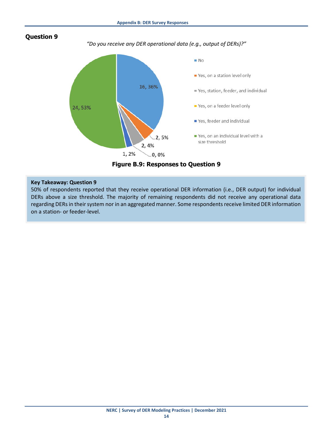<span id="page-19-0"></span>

*"Do you receive any DER operational data (e.g., output of DERs)?"*



**Figure B.9: Responses to Question 9**

#### **Key Takeaway: Question 9**

50% of respondents reported that they receive operational DER information (i.e., DER output) for individual DERs above a size threshold. The majority of remaining respondents did not receive any operational data regarding DERs in their system nor in an aggregated manner. Some respondents receive limited DER information on a station- or feeder-level.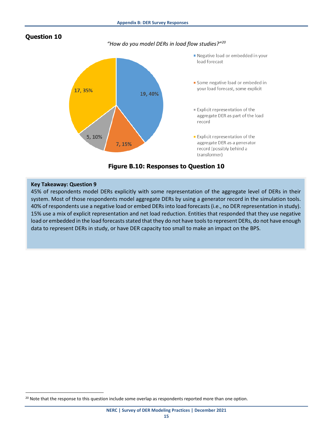*"How do you model DERs in load flow studies?"[20](#page-20-1)*

<span id="page-20-0"></span>

**Figure B.10: Responses to Question 10**

#### **Key Takeaway: Question 9**

45% of respondents model DERs explicitly with some representation of the aggregate level of DERs in their system. Most of those respondents model aggregate DERs by using a generator record in the simulation tools. 40% of respondents use a negative load or embed DERs into load forecasts (i.e., no DER representation in study). 15% use a mix of explicit representation and net load reduction. Entities that responded that they use negative load or embedded in the load forecasts stated that they do not have tools to represent DERs, do not have enough data to represent DERs in study, or have DER capacity too small to make an impact on the BPS.

<span id="page-20-1"></span><sup>&</sup>lt;sup>20</sup> Note that the response to this question include some overlap as respondents reported more than one option.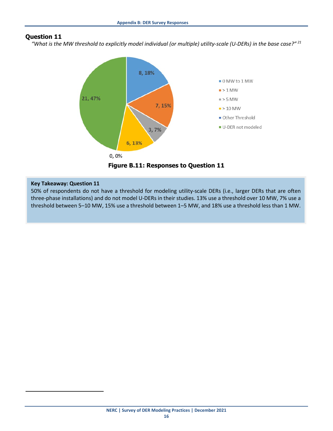<span id="page-21-0"></span>*"What is the MW threshold to explicitly model individual (or multiple) utility-scale (U-DERs) in the base case?" [21](#page-21-1)*



**Figure B.11: Responses to Question 11**

#### **Key Takeaway: Question 11**

<span id="page-21-1"></span> $\overline{\phantom{a}}$ 

50% of respondents do not have a threshold for modeling utility-scale DERs (i.e., larger DERs that are often three-phase installations) and do not model U-DERs in their studies. 13% use a threshold over 10 MW, 7% use a threshold between 5–10 MW, 15% use a threshold between 1–5 MW, and 18% use a threshold less than 1 MW.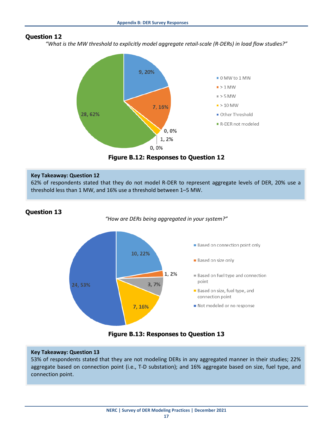<span id="page-22-0"></span>*"What is the MW threshold to explicitly model aggregate retail-scale (R-DERs) in load flow studies?"*



**Figure B.12: Responses to Question 12**

#### **Key Takeaway: Question 12**

62% of respondents stated that they do not model R-DER to represent aggregate levels of DER, 20% use a threshold less than 1 MW, and 16% use a threshold between 1–5 MW.

## <span id="page-22-1"></span>**Question 13**

*"How are DERs being aggregated in your system?"*





#### **Key Takeaway: Question 13**

53% of respondents stated that they are not modeling DERs in any aggregated manner in their studies; 22% aggregate based on connection point (i.e., T-D substation); and 16% aggregate based on size, fuel type, and connection point.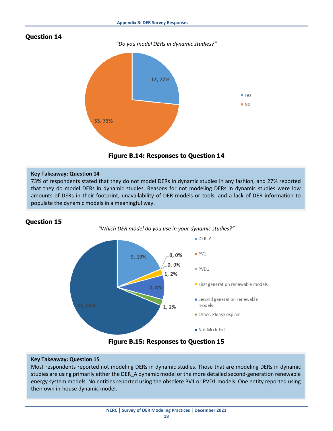*"Do you model DERs in dynamic studies?"*

<span id="page-23-0"></span>



#### **Key Takeaway: Question 14**

73% of respondents stated that they do not model DERs in dynamic studies in any fashion, and 27% reported that they do model DERs in dynamic studies. Reasons for not modeling DERs in dynamic studies were low amounts of DERs in their footprint, unavailability of DER models or tools, and a lack of DER information to populate the dynamic models in a meaningful way.

#### <span id="page-23-1"></span>**Question 15**



**Figure B.15: Responses to Question 15**

#### **Key Takeaway: Question 15**

Most respondents reported not modeling DERs in dynamic studies. Those that are modeling DERs in dynamic studies are using primarily either the DER\_A dynamic model or the more detailed second-generation renewable energy system models. No entities reported using the obsolete PV1 or PVD1 models. One entity reported using their own in-house dynamic model.